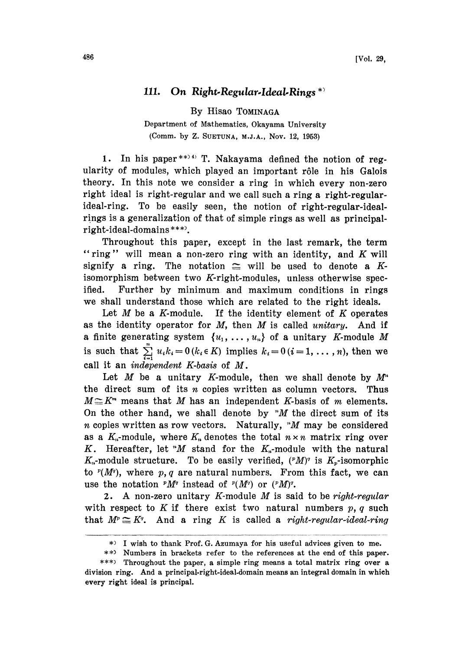## 111. On Right-Regular-Ideal-Rings  $*$

By Hisao TOMINAGA

Department of Mathematics, Okayama University (Comm. by Z. SUETUNA, M.J.A., Nov. 12, 1953)

1. In his paper \*\* $)$ <sup>4)</sup> T. Nakayama defined the notion of regularity of modules, which played an important r61e in his Galois theory. In this note we consider a ring in which every non-zero right ideal is right-regular and we call such a ring a right-regularideal-ring. To be easily seen, the notion of right-regular-idealrings is a generalization of that of simple rings as well as principalright-ideal-domains \*\*\*.

Throughout this paper, except in the last remark, the term "ring" will mean a non-zero ring with an identity, and  $K$  will signify a ring. The notation  $\cong$  will be used to denote a Kisomorphism between two K-right-modules, unless otherwise specified. Further by minimum, and maximum conditions in rings we shall understand those which are related to the right ideals.

Let  $M$  be a  $K$ -module. If the identity element of  $K$  operates as the identity operator for  $M$ , then  $M$  is called unitary. And if a finite generating system  $\{u_1, \ldots, u_n\}$  of a unitary K-module M is such that  $\sum_{i=1}^{n} u_i k_i = 0$  ( $k_i \in K$ ) implies  $k_i = 0$  ( $i = 1, ..., n$ ), then we call it an independent K-basis of M.

Let M be a unitary K-module, then we shall denote by  $M^*$ the direct sum of its  $n$  copies written as column vectors. Thus  $M \subseteq K<sup>m</sup>$  means that M has an independent K-basis of m elements. On the other hand, we shall denote by "M the direct sum of its  $n$  copies written as row vectors. Naturally, " $M$  may be considered as a  $K_n$ -module, where  $K_n$  denotes the total  $n \times n$  matrix ring over K. Hereafter, let "M stand for the  $K_n$ -module with the natural  $K_n$ -module structure. To be easily verified,  $({}^pM)^r$  is  $K_p$ -isomorphic to  $P(M<sup>q</sup>)$ , where p, q are natural numbers. From this fact, we can use the notation  $^pM^q$  instead of  $^p(M^q)$  or  $(^pM)^q$ .

2. A non-zero unitary K-module  $M$  is said to be right-regular with respect to K if there exist two natural numbers  $p, q$  such that  $M^p \cong K^q$ . And a ring K is called a right-regular-ideal-ring

<sup>\*)</sup> <sup>I</sup> wish to thank Prof; G. Azumaya for his useful advices given to me.

<sup>\*\*)</sup> Numbers in brackets refer to the references at the end of this paper.

<sup>\*\*\*)</sup> Throughout the paper, a simple ring means a total matrix ring over a division ring. And a principal-right-ideal.domain means an integral domain in which every right ideal is principal.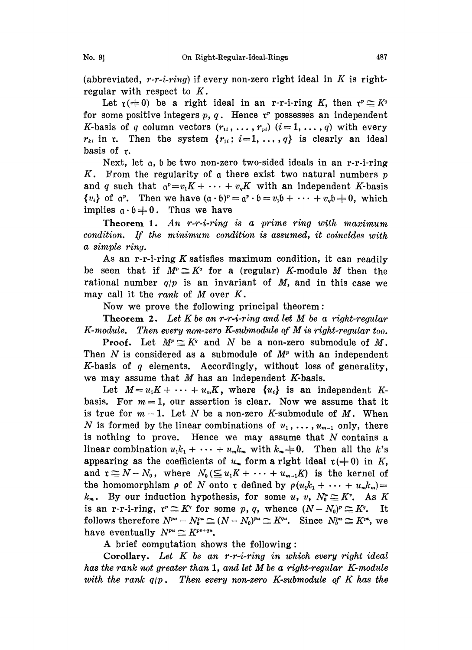(abbreviated,  $r-r-i-ring$ ) if every non-zero right ideal in K is rightregular with respect to  $K$ .

Let  $\mathfrak{r}(=0)$  be a right ideal in an r-r-i-ring K, then  $\mathfrak{r}^p \subseteq K^q$  some positive integers  $p, q$ . Hence  $\mathfrak{r}^p$  possesses an independent for some positive integers  $p, q$ . Hence  $r^p$  possesses an independent K-basis of q column vectors  $(r_{1i}, \ldots, r_{vi})$   $(i=1,\ldots,q)$  with every  $r_{ki}$  in r. Then the system  $\{r_{1i}; i=1,\ldots,q\}$  is clearly an ideal basis of r.

Next, let a, <sup>b</sup> be two non-zero two-sided ideals in an r-r-i-ring K. From the regularity of a there exist two natural numbers  $p$ and q such that  $\alpha^p=v_1K+\cdots + v_qK$  with an independent K-basis  ${v_i}$  of  $a^p$ . Then we have  $(a \cdot b)^p = a^p \cdot b = v_1 b + \cdots + v_q b = 0$ , which<br>implies  $a \cdot b = 0$ . Thus we have implies  $a \cdot b = 0$ . Thus we have

Theorem 1. An r-r-i-ring is a prime ring with maximum condition. If the minimum condition is assumed, it coincides with a simple ring.

As an r-r-i-ring  $K$  satisfies maximum condition, it can readily be seen that if  $M^p \cong K^q$  for a (regular) K-module M then the rational number  $q/p$  is an invariant of M, and in this case we may call it the rank of  $M$  over  $K$ .

Now we prove the following principal theorem:

**Theorem 2.** Let K be an r-r-i-ring and let M be a right-regular K-module. Then every non-zero K-submodule of  $M$  is right-regular too.

**Proof.** Let  $M^p \cong K^q$  and N be a non-zero submodule of M. Then  $N$  is considered as a submodule of  $M^p$  with an independent K-basis of  $q$  elements. Accordingly, without loss of generality, we may assume that  $M$  has an independent  $K$ -basis.

Let  $M=u_1K+\cdots + u_mK$ , where  $\{u_i\}$  is an independent Kbasis. For  $m=1$ , our assertion is clear. Now we assume that it is true for  $m-1$ . Let N be a non-zero K-submodule of M. When N is formed by the linear combinations of  $u_1, \ldots, u_{m-1}$  only, there is nothing to prove. Hence we may assume that  $N$  contains a linear combination  $u_1 k_1 + \cdots + u_m k_m$  with  $k_m \neq 0$ . Then all the k's appearing as the coefficients of  $u_m$  form a right ideal  $r(= 0)$  in K, and  $\mathfrak{r} \cong N-N_0$ , where  $N_0(\leq u_1K+\cdots+u_{m-1}K)$  is the kernel of the homomorphism  $\rho$  of N onto r defined by  $\rho(u_1 k_1 + \cdots + u_m k_m) =$  $k_m$ . By our induction hypothesis, for some u, v,  $N_0^u \cong K^v$ . As K. is an r-r-i-ring,  $r^p \subseteq K^q$  for some p, q, whence  $(N-N_0)^p \subseteq K^q$ . It follows therefore  $N^{pu} - N_0^{pu} \cong (N - N_0)^{pu} \cong K^{qu}$ . Since  $N_0^{pu} \cong K^{pu}$ , we have eventually  $N^{pu} \cong K^{pv+qu}$ .

A brief computation shows the following:

Corollary. Let  $K$  be an r-r-i-ring in which every right ideal has the rank not greater than  $1$ , and let  $M$  be a right-regular  $K$ -module with the rank  $q/p$ . Then every non-zero K-submodule of K has the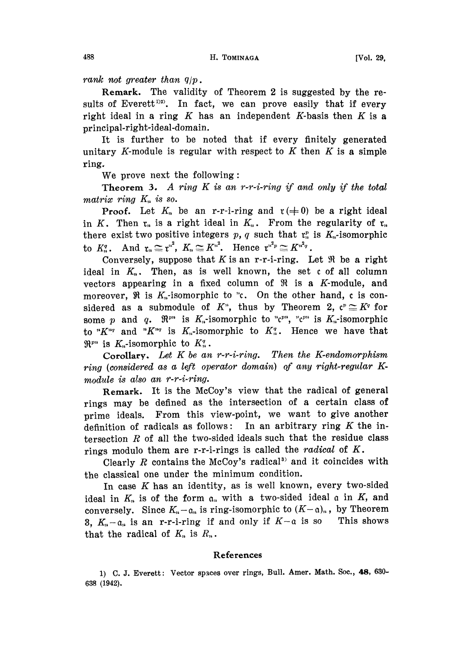rank not greater than  $q/p$ .

Remark. The validity of Theorem 2 is suggested by the results of Everett<sup>1)2)</sup>. In fact, we can prove easily that if every right ideal in a ring  $K$  has an independent K-basis then  $K$  is a principal-right-ideal-domain.

It is further to be noted that if every finitely generated unitary K-module is regular with respect to  $K$  then  $K$  is a simple ring..

We prove next the following:

Theorem 3. A ring  $K$  is an r-r-i-ring if and only if the total matrix ring  $K_n$  is so.

**Proof.** Let  $K_n$  be an r-r-i-ring and  $r \neq 0$  be a right ideal in K. Then  $r_n$  is a right ideal in  $K_n$ . From the regularity of  $r_n$ there exist two positive integers p, q such that  $r<sub>n</sub>$  is  $K<sub>n</sub>$ -isomorphic to  $K_n^q$ . And  $\mathfrak{r}_n \cong \mathfrak{r}^{n^2}$ ,  $K_n \cong K^{n^2}$ . Hence  $\mathfrak{r}^{n^2 p} \cong K^{n^2 q}$ .

Conversely, suppose that K is an r-r-i-ring. Let  $\Re$  be a right ideal in  $K_n$ . Then, as is well known, the set  $c$  of all column vectors appearing in a fixed column of  $\Re$  is a K-module, and moreover,  $\Re$  is  $K_n$ -isomorphic to "c. On the other hand, c is considered as a submodule of  $K^*$ , thus by Theorem 2,  $\mathfrak{c}^p \cong K^q$  for some p and q.  $\mathfrak{R}^{pn}$  is  $K_n$ -isomorphic to " $\mathfrak{c}^{pn}$ , " $\mathfrak{c}^{pn}$  is  $K_n$ -isomorphic to " $K^{nq}$  and " $K^{nq}$  is  $K_n$ -isomorphic to  $K_n^q$ . Hence we have that  $\mathbb{R}^{p}$  is K<sub>n</sub>-isomorphic to  $K_n^q$ .

Corollary. Let  $K$  be an r-r-i-ring. Then the K-endomorphism ring (considered as a left operator domain) of any right-regular K.  $module$  is also an  $r$ - $r$ - $i$ - $ring.$ 

Remark. It is the McCoy's view that the radical of general rings may be defined as the intersection of a certain class of prime ideals. From this view-point, we want to give another definition of radicals as follows: In an arbitrary ring  $K$  the intersection  $R$  of all the two-sided ideals such that the residue class rings modulo them are r-r-i-rings is called the *radical* of  $K$ .

Clearly  $R$  contains the McCoy's radical<sup>3</sup> and it coincides with the classical one under the minimum condition.

In case  $K$  has an identity, as is well known, every two-sided ideal in  $K_n$  is of the form  $a_n$  with a two-sided ideal a in K, and conversely. Since  $K_n-\mathfrak{a}_n$  is ring-isomorphic to  $(K-\mathfrak{a})_n$ , by Theorem 3,  $K_n - a_n$  is an r-r-i-ring if and only if  $K-a$  is so This shows that the radical of  $K_n$  is  $R_n$ .

## References

1) C. J. Everett: Vector spaces over rings, Bull. Amer. Math. Soc., 48, 630-638 (1942).